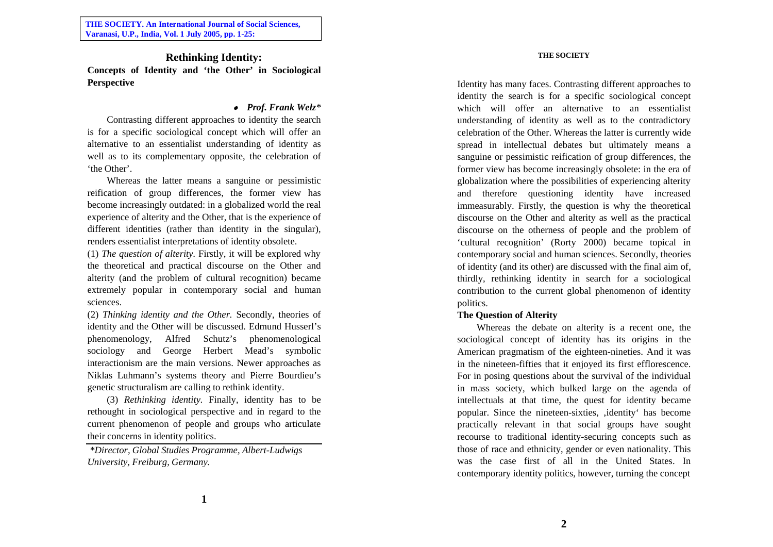**THE SOCIETY. An International Journal of Social Sciences, Varanasi, U.P., India, Vol. 1 July 2005, pp. 1-25:**

**Rethinking Identity: Concepts of Identity and 'the Other' in Sociological Perspective**

# *Prof. Frank Welz\**

Contrasting different approaches to identity the search is for a specific sociological concept which will offer an alternative to an essentialist understanding of identity as well as to its complementary opposite, the celebration of 'the Other'.

Whereas the latter means a sanguine or pessimistic reification of group differences, the former view has become increasingly outdated: in a globalized world the real experience of alterity and the Other, that is the experience of different identities (rather than identity in the singular), renders essentialist interpretations of identity obsolete.

(1) *The question of alterity.* Firstly, it will be explored why the theoretical and practical discourse on the Other and alterity (and the problem of cultural recognition) became extremely popular in contemporary social and human sciences.

(2) *Thinking identity and the Other.* Secondly, theories of identity and the Other will be discussed. Edmund Husserl's phenomenology, Alfred Schutz's phenomenological sociology and George Herbert Mead's symbolic interactionism are the main versions. Newer approaches as Niklas Luhmann's systems theory and Pierre Bourdieu's genetic structuralism are calling to rethink identity.

(3) *Rethinking identity.* Finally, identity has to be rethought in sociological perspective and in regard to the current phenomenon of people and groups who articulate their concerns in identity politics.

*\*Director, Global Studies Programme, Albert-Ludwigs University, Freiburg, Germany.* 

#### **THE SOCIETY**

Identity has many faces. Contrasting different approaches to identity the search is for a specific sociological concept which will offer an alternative to an essentialist understanding of identity as well as to the contradictory celebration of the Other. Whereas the latter is currently wide spread in intellectual debates but ultimately means a sanguine or pessimistic reification of group differences, the former view has become increasingly obsolete: in the era of globalization where the possibilities of experiencing alterity and therefore questioning identity have increased immeasurably. Firstly, the question is why the theoretical discourse on the Other and alterity as well as the practical discourse on the otherness of people and the problem of 'cultural recognition' (Rorty 2000) became topical in contemporary social and human sciences. Secondly, theories of identity (and its other) are discussed with the final aim of, thirdly, rethinking identity in search for a sociological contribution to the current global phenomenon of identity politics.

## **The Question of Alterity**

Whereas the debate on alterity is a recent one, the sociological concept of identity has its origins in the American pragmatism of the eighteen-nineties. And it was in the nineteen-fifties that it enjoyed its first efflorescence. For in posing questions about the survival of the individual in mass society, which bulked large on the agenda of intellectuals at that time, the quest for identity became popular. Since the nineteen-sixties, 'identity' has become practically relevant in that social groups have sought recourse to traditional identity-securing concepts such as those of race and ethnicity, gender or even nationality. This was the case first of all in the United States. In contemporary identity politics, however, turning the concept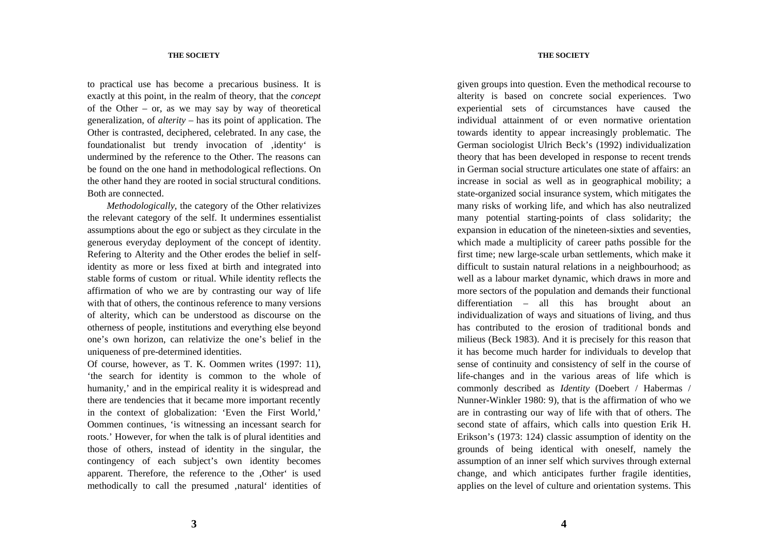to practical use has become a precarious business. It is exactly at this point, in the realm of theory, that the *concep<sup>t</sup>* of the Other – or, as we may say by way of theoretical generalization, of *alterity* – has its point of application. The Other is contrasted, deciphered, celebrated. In any case, the foundationalist but trendy invocation of , identity' is undermined by the reference to the Other. The reasons can be found on the one hand in methodological reflections. On the other hand they are rooted in social structural conditions. Both are connected.

*Methodologically,* the category of the Other relativizes the relevant category of the self. It undermines essentialist assumptions about the ego or subject as they circulate in the generous everyday deployment of the concept of identity. Refering to Alterity and the Other erodes the belief in selfidentity as more or less fixed at birth and integrated into stable forms of custom or ritual. While identity reflects the affirmation of who we are by contrasting our way of life with that of others, the continous reference to many versions of alterity, which can be understood as discourse on the otherness of people, institutions and everything else beyond one's own horizon, can relativize the one's belief in the uniqueness of pre-determined identities.

Of course, however, as T. K. Oommen writes (1997: 11), 'the search for identity is common to the whole of humanity,' and in the empirical reality it is widespread and there are tendencies that it became more important recently in the context of globalization: 'Even the First World,' Oommen continues, 'is witnessing an incessant search for roots.' However, for when the talk is of plural identities and those of others, instead of identity in the singular, the contingency of each subject's own identity becomes apparent. Therefore, the reference to the , Other' is used methodically to call the presumed , natural' identities of

#### **THE SOCIETY**

given groups into question. Even the methodical recourse to alterity is based on concrete social experiences. Two experiential sets of circumstances have caused the individual attainment of or even normative orientation towards identity to appear increasingly problematic. The German sociologist Ulrich Beck's (1992) individualization theory that has been developed in response to recent trends in German social structure articulates one state of affairs: an increase in social as well as in geographical mobility; a state-organized social insurance system, which mitigates the many risks of working life, and which has also neutralized many potential starting-points of class solidarity; the expansion in education of the nineteen-sixties and seventies, which made a multiplicity of career paths possible for the first time; new large-scale urban settlements, which make it difficult to sustain natural relations in a neighbourhood; as well as a labour market dynamic, which draws in more and more sectors of the population and demands their functional differentiation – all this has brought about an individualization of ways and situations of living, and thus has contributed to the erosion of traditional bonds and milieus (Beck 1983). And it is precisely for this reason that it has become much harder for individuals to develop that sense of continuity and consistency of self in the course of life-changes and in the various areas of life which is commonly described as *Identity* (Doebert / Habermas / Nunner-Winkler 1980: 9), that is the affirmation of who we are in contrasting our way of life with that of others. The second state of affairs, which calls into question Erik H. Erikson's (1973: 124) classic assumption of identity on the grounds of being identical with oneself, namely the assumption of an inner self which survives through external change, and which anticipates further fragile identities, applies on the level of culture and orientation systems. This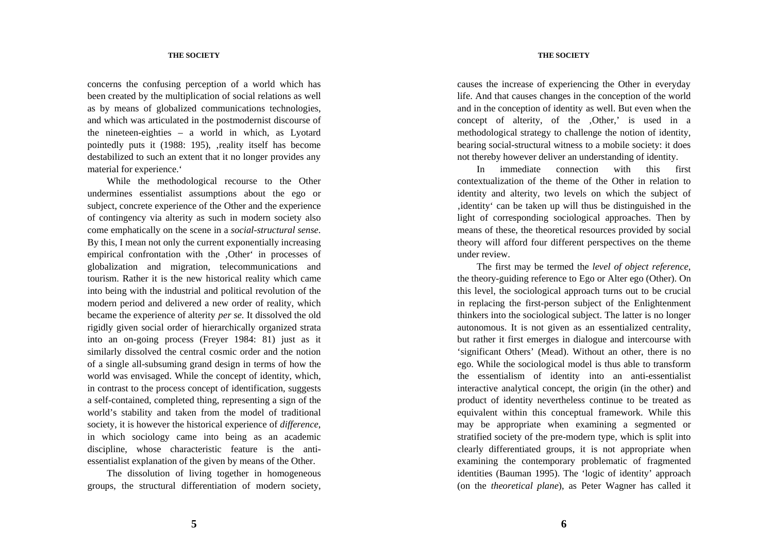## **THE SOCIETY**

concerns the confusing perception of a world which has been created by the multiplication of social relations as well as by means of globalized communications technologies, and which was articulated in the postmodernist discourse of the nineteen-eighties – a world in which, as Lyotard pointedly puts it (1988: 195), , reality itself has become destabilized to such an extent that it no longer provides any material for experience.'

While the methodological recourse to the Other undermines essentialist assumptions about the ego or subject, concrete experience of the Other and the experience of contingency via alterity as such in modern society also come emphatically on the scene in a *social-structural sense*. By this, I mean not only the current exponentially increasing empirical confrontation with the .Other' in processes of globalization and migration, telecommunications and tourism. Rather it is the new historical reality which came into being with the industrial and political revolution of the modern period and delivered a new order of reality, which became the experience of alterity *per se.* It dissolved the old rigidly given social order of hierarchically organized strata into an on-going process (Freyer 1984: 81) just as it similarly dissolved the central cosmic order and the notion of a single all-subsuming grand design in terms of how the world was envisaged. While the concept of identity, which, in contrast to the process concept of identification, suggests a self-contained, completed thing, representing a sign of the world's stability and taken from the model of traditional society, it is however the historical experience of *difference*, in which sociology came into being as an academic discipline, whose characteristic feature is the antiessentialist explanation of the given by means of the Other.

The dissolution of living together in homogeneous groups, the structural differentiation of modern society, causes the increase of experiencing the Other in everyday life. And that causes changes in the conception of the world and in the conception of identity as well. But even when the concept of alterity, of the ,Other,' is used in a methodological strategy to challenge the notion of identity, bearing social-structural witness to a mobile society: it does not thereby however deliver an understanding of identity.

In immediate connection with this first contextualization of the theme of the Other in relation to identity and alterity, two levels on which the subject of , identity' can be taken up will thus be distinguished in the light of corresponding sociological approaches. Then by means of these, the theoretical resources provided by social theory will afford four different perspectives on the theme under review.

The first may be termed the *level of object reference*, the theory-guiding reference to Ego or Alter ego (Other). On this level, the sociological approach turns out to be crucial in replacing the first-person subject of the Enlightenment thinkers into the sociological subject. The latter is no longer autonomous. It is not given as an essentialized centrality, but rather it first emerges in dialogue and intercourse with 'significant Others' (Mead). Without an other, there is no ego. While the sociological model is thus able to transform the essentialism of identity into an anti-essentialist interactive analytical concept, the origin (in the other) and product of identity nevertheless continue to be treated as equivalent within this conceptual framework. While this may be appropriate when examining a segmented or stratified society of the pre-modern type, which is split into clearly differentiated groups, it is not appropriate when examining the contemporary problematic of fragmented identities (Bauman 1995). The 'logic of identity' approach (on the *theoretical plane*), as Peter Wagner has called it

**5**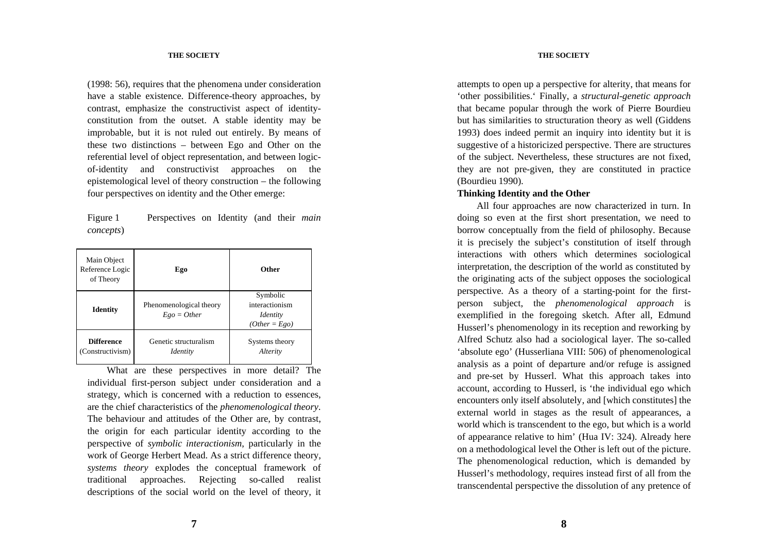(1998: 56), requires that the phenomena under consideration have a stable existence. Difference-theory approaches, by contrast, emphasize the constructivist aspect of identityconstitution from the outset. A stable identity may be improbable, but it is not ruled out entirely. By means of these two distinctions – between Ego and Other on the referential level of object representation, and between logicof-identity and constructivist approaches on the epistemological level of theory construction – the following four perspectives on identity and the Other emerge:

Figure 1 Perspectives on Identity (and their *main concepts*)

| Main Object<br>Reference Logic<br>of Theory | Ego                                      | <b>Other</b>                                                     |
|---------------------------------------------|------------------------------------------|------------------------------------------------------------------|
| <b>Identity</b>                             | Phenomenological theory<br>$Ego = Other$ | Symbolic<br>interactionism<br><i>Identity</i><br>$(Other = Ego)$ |
| <b>Difference</b><br>(Constructivism)       | Genetic structuralism<br><i>Identity</i> | Systems theory<br>Alterity                                       |

What are these perspectives in more detail? The individual first-person subject under consideration and a strategy, which is concerned with a reduction to essences, are the chief characteristics of the *phenomenological theory*. The behaviour and attitudes of the Other are, by contrast, the origin for each particular identity according to the perspective of *symbolic interactionism*, particularly in the work of George Herbert Mead. As a strict difference theory, *systems theory* explodes the conceptual framework of traditional approaches. Rejecting so-called realist descriptions of the social world on the level of theory, it

#### **THE SOCIETY**

attempts to open up a perspective for alterity, that means for 'other possibilities.' Finally, a *structural-genetic approach* that became popular through the work of Pierre Bourdieu but has similarities to structuration theory as well (Giddens 1993) does indeed permit an inquiry into identity but it is suggestive of a historicized perspective. There are structures of the subject. Nevertheless, these structures are not fixed, they are not pre-given, they are constituted in practice (Bourdieu 1990).

# **Thinking Identity and the Other**

All four approaches are now characterized in turn. In doing so even at the first short presentation, we need to borrow conceptually from the field of philosophy. Because it is precisely the subject's constitution of itself through interactions with others which determines sociological interpretation, the description of the world as constituted by the originating acts of the subject opposes the sociological perspective. As a theory of a starting-point for the firstperson subject, the *phenomenological approach* is exemplified in the foregoing sketch. After all, Edmund Husserl's phenomenology in its reception and reworking by Alfred Schutz also had a sociological layer. The so-called 'absolute ego' (Husserliana VIII: 506) of phenomenological analysis as a point of departure and/or refuge is assigned and pre-set by Husserl. What this approach takes into account, according to Husserl, is 'the individual ego which encounters only itself absolutely, and [which constitutes] the external world in stages as the result of appearances, a world which is transcendent to the ego, but which is a world of appearance relative to him' (Hua IV: 324). Already here on a methodological level the Other is left out of the picture. The phenomenological reduction, which is demanded by Husserl's methodology, requires instead first of all from the transcendental perspective the dissolution of any pretence of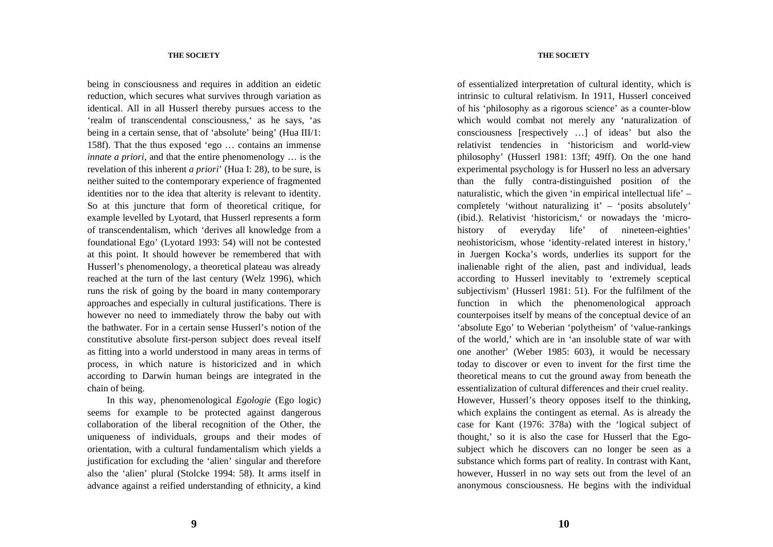being in consciousness and requires in addition an eidetic reduction, which secures what survives through variation as identical. All in all Husserl thereby pursues access to the 'realm of transcendental consciousness,' as he says, 'as being in a certain sense, that of 'absolute' being' (Hua III/1: 158f). That the thus exposed 'ego … contains an immense *innate a priori*, and that the entire phenomenology ... is the revelation of this inherent *a priori*' (Hua I: 28), to be sure, is neither suited to the contemporary experience of fragmented identities nor to the idea that alterity is relevant to identity. So at this juncture that form of theoretical critique, for example levelled by Lyotard, that Husserl represents a form of transcendentalism, which 'derives all knowledge from a foundational Ego' (Lyotard 1993: 54) will not be contested at this point. It should however be remembered that with Husserl's phenomenology, a theoretical plateau was already reached at the turn of the last century (Welz 1996), which runs the risk of going by the board in many contemporary approaches and especially in cultural justifications. There is however no need to immediately throw the baby out with the bathwater. For in a certain sense Husserl's notion of the constitutive absolute first-person subject does reveal itself as fitting into a world understood in many areas in terms of process, in which nature is historicized and in which according to Darwin human beings are integrated in the chain of being.

In this way, phenomenological *Egologie* (Ego logic) seems for example to be protected against dangerous collaboration of the liberal recognition of the Other, the uniqueness of individuals, groups and their modes of orientation, with a cultural fundamentalism which yields a justification for excluding the 'alien' singular and therefore also the 'alien' plural (Stolcke 1994: 58). It arms itself in advance against a reified understanding of ethnicity, a kind

### **THE SOCIETY**

of essentialized interpretation of cultural identity, which is intrinsic to cultural relativism. In 1911, Husserl conceived of his 'philosophy as a rigorous science' as a counter-blow which would combat not merely any 'naturalization of consciousness [respectively …] of ideas' but also the relativist tendencies in 'historicism and world-view philosophy' (Husserl 1981: 13ff; 49ff). On the one hand experimental psychology is for Husserl no less an adversary than the fully contra-distinguished position of the naturalistic, which the given 'in empirical intellectual life' – completely 'without naturalizing it' – 'posits absolutely' (ibid.). Relativist 'historicism,' or nowadays the 'microhistory of everyday life' of nineteen-eighties' neohistoricism, whose 'identity-related interest in history,' in Juergen Kocka's words, underlies its support for the inalienable right of the alien, past and individual, leads according to Husserl inevitably to 'extremely sceptical subjectivism' (Husserl 1981: 51). For the fulfilment of the function in which the phenomenological approach counterpoises itself by means of the conceptual device of an 'absolute Ego' to Weberian 'polytheism' of 'value-rankings of the world,' which are in 'an insoluble state of war with one another' (Weber 1985: 603), it would be necessary today to discover or even to invent for the first time the theoretical means to cut the ground away from beneath the essentialization of cultural differences and their cruel reality. However, Husserl's theory opposes itself to the thinking, which explains the contingent as eternal. As is already the case for Kant (1976: 378a) with the 'logical subject of thought,' so it is also the case for Husserl that the Egosubject which he discovers can no longer be seen as a substance which forms part of reality. In contrast with Kant, however, Husserl in no way sets out from the level of an anonymous consciousness. He begins with the individual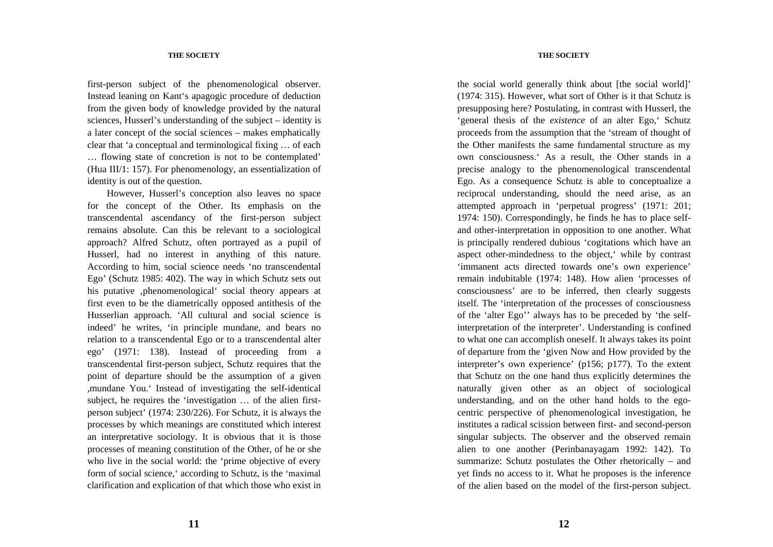first-person subject of the phenomenological observer. Instead leaning on Kant's apagogic procedure of deduction from the given body of knowledge provided by the natural sciences, Husserl's understanding of the subject – identity is a later concept of the social sciences – makes emphatically clear that 'a conceptual and terminological fixing … of each … flowing state of concretion is not to be contemplated' (Hua III/1: 157). For phenomenology, an essentialization of identity is out of the question.

However, Husserl's conception also leaves no space for the concept of the Other. Its emphasis on the transcendental ascendancy of the first-person subject remains absolute. Can this be relevant to a sociological approach? Alfred Schutz, often portrayed as a pupil of Husserl, had no interest in anything of this nature. According to him, social science needs 'no transcendental Ego' (Schutz 1985: 402). The way in which Schutz sets out his putative , phenomenological 'social theory appears at first even to be the diametrically opposed antithesis of the Husserlian approach. 'All cultural and social science is indeed' he writes, 'in principle mundane, and bears no relation to a transcendental Ego or to a transcendental alter ego' (1971: 138). Instead of proceeding from a transcendental first-person subject, Schutz requires that the point of departure should be the assumption of a given ,mundane You.' Instead of investigating the self-identical subject, he requires the 'investigation … of the alien firstperson subject' (1974: 230/226). For Schutz, it is always the processes by which meanings are constituted which interest an interpretative sociology. It is obvious that it is those processes of meaning constitution of the Other, of he or she who live in the social world: the 'prime objective of every form of social science,' according to Schutz, is the 'maximal clarification and explication of that which those who exist in

## **THE SOCIETY**

the social world generally think about [the social world]' (1974: 315). However, what sort of Other is it that Schutz is presupposing here? Postulating, in contrast with Husserl, the 'general thesis of the *existence* of an alter Ego,' Schutz proceeds from the assumption that the 'stream of thought of the Other manifests the same fundamental structure as my own consciousness.' As a result, the Other stands in a precise analogy to the phenomenological transcendental Ego. As a consequence Schutz is able to conceptualize a reciprocal understanding, should the need arise, as an attempted approach in 'perpetual progress' (1971: 201; 1974: 150). Correspondingly, he finds he has to place selfand other-interpretation in opposition to one another. What is principally rendered dubious 'cogitations which have an aspect other-mindedness to the object,' while by contrast 'immanent acts directed towards one's own experience' remain indubitable (1974: 148). How alien 'processes of consciousness' are to be inferred, then clearly suggests itself. The 'interpretation of the processes of consciousness of the 'alter Ego'' always has to be preceded by 'the selfinterpretation of the interpreter'. Understanding is confined to what one can accomplish oneself. It always takes its point of departure from the 'given Now and How provided by the interpreter's own experience' (p156; p177). To the extent that Schutz on the one hand thus explicitly determines the naturally given other as an object of sociological understanding, and on the other hand holds to the egocentric perspective of phenomenological investigation, he institutes a radical scission between first- and second-person singular subjects. The observer and the observed remain alien to one another (Perinbanayagam 1992: 142). To summarize: Schutz postulates the Other rhetorically – and yet finds no access to it. What he proposes is the inference of the alien based on the model of the first-person subject.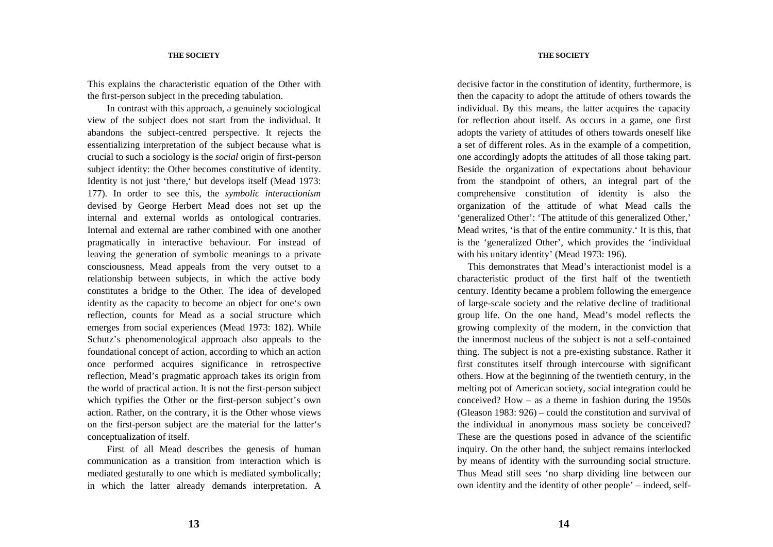This explains the characteristic equation of the Other with the first-person subject in the preceding tabulation.

In contrast with this approach, a genuinely sociological view of the subject does not start from the individual. It abandons the subject-centred perspective. It rejects the essentializing interpretation of the subject because what is crucial to such a sociology is the *social* origin of first-person subject identity: the Other becomes constitutive of identity. Identity is not just 'there,' but develops itself (Mead 1973: 177). In order to see this, the *symbolic interactionism* devised by George Herbert Mead does not set up the internal and external worlds as ontological contraries. Internal and external are rather combined with one another pragmatically in interactive behaviour. For instead of leaving the generation of symbolic meanings to a private consciousness, Mead appeals from the very outset to a relationship between subjects, in which the active body constitutes a bridge to the Other. The idea of developed identity as the capacity to become an object for one's own reflection, counts for Mead as a social structure which emerges from social experiences (Mead 1973: 182). While Schutz's phenomenological approach also appeals to the foundational concept of action, according to which an action once performed acquires significance in retrospective reflection, Mead's pragmatic approach takes its origin from the world of practical action. It is not the first-person subject which typifies the Other or the first-person subject's own action. Rather, on the contrary, it is the Other whose views on the first-person subject are the material for the latter's conceptualization of itself.

First of all Mead describes the genesis of human communication as a transition from interaction which is mediated gesturally to one which is mediated symbolically; in which the latter already demands interpretation. A

#### **THE SOCIETY**

decisive factor in the constitution of identity, furthermore, is then the capacity to adopt the attitude of others towards the individual. By this means, the latter acquires the capacity for reflection about itself. As occurs in a game, one first adopts the variety of attitudes of others towards oneself like a set of different roles. As in the example of a competition, one accordingly adopts the attitudes of all those taking part. Beside the organization of expectations about behaviour from the standpoint of others, an integral part of the comprehensive constitution of identity is also the organization of the attitude of what Mead calls the 'generalized Other': 'The attitude of this generalized Other,' Mead writes, 'is that of the entire community.' It is this, that is the 'generalized Other', which provides the 'individual with his unitary identity' (Mead 1973: 196).

This demonstrates that Mead's interactionist model is a characteristic product of the first half of the twentieth century. Identity became a problem following the emergence of large-scale society and the relative decline of traditional group life. On the one hand, Mead's model reflects the growing complexity of the modern, in the conviction that the innermost nucleus of the subject is not a self-contained thing. The subject is not a pre-existing substance. Rather it first constitutes itself through intercourse with significant others. How at the beginning of the twentieth century, in the melting pot of American society, social integration could be conceived? How – as a theme in fashion during the 1950s (Gleason 1983: 926) – could the constitution and survival of the individual in anonymous mass society be conceived? These are the questions posed in advance of the scientific inquiry. On the other hand, the subject remains interlocked by means of identity with the surrounding social structure. Thus Mead still sees 'no sharp dividing line between our own identity and the identity of other people' – indeed, self-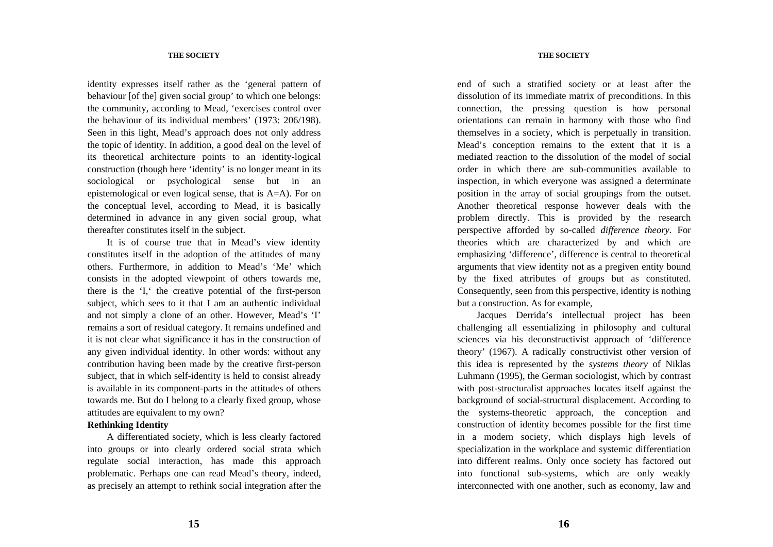identity expresses itself rather as the 'general pattern of behaviour [of the] given social group' to which one belongs: the community, according to Mead, 'exercises control over the behaviour of its individual members' (1973: 206/198). Seen in this light, Mead's approach does not only address the topic of identity. In addition, a good deal on the level of its theoretical architecture points to an identity-logical construction (though here 'identity' is no longer meant in its sociological or psychological sense but in an epistemological or even logical sense, that is A=A). For on the conceptual level, according to Mead, it is basically determined in advance in any given social group, what thereafter constitutes itself in the subject.

It is of course true that in Mead's view identity constitutes itself in the adoption of the attitudes of many others. Furthermore, in addition to Mead's 'Me' which consists in the adopted viewpoint of others towards me, there is the 'I,' the creative potential of the first-person subject, which sees to it that I am an authentic individual and not simply a clone of an other. However, Mead's 'I' remains a sort of residual category. It remains undefined and it is not clear what significance it has in the construction of any given individual identity. In other words: without any contribution having been made by the creative first-person subject, that in which self-identity is held to consist already is available in its component-parts in the attitudes of others towards me. But do I belong to a clearly fixed group, whose attitudes are equivalent to my own?

# **Rethinking Identity**

A differentiated society, which is less clearly factored into groups or into clearly ordered social strata which regulate social interaction, has made this approach problematic. Perhaps one can read Mead's theory, indeed, as precisely an attempt to rethink social integration after the

### **THE SOCIETY**

end of such a stratified society or at least after the dissolution of its immediate matrix of preconditions. In this connection, the pressing question is how personal orientations can remain in harmony with those who find themselves in a society, which is perpetually in transition. Mead's conception remains to the extent that it is a mediated reaction to the dissolution of the model of social order in which there are sub-communities available to inspection, in which everyone was assigned a determinate position in the array of social groupings from the outset. Another theoretical response however deals with the problem directly. This is provided by the research perspective afforded by so-called *difference theory*. For theories which are characterized by and which are emphasizing 'difference', difference is central to theoretical arguments that view identity not as a pregiven entity bound by the fixed attributes of groups but as constituted. Consequently, seen from this perspective, identity is nothing but a construction. As for example,

Jacques Derrida's intellectual project has been challenging all essentializing in philosophy and cultural sciences via his deconstructivist approach of 'difference theory' (1967). A radically constructivist other version of this idea is represented by the *systems theory* of Niklas Luhmann (1995), the German sociologist, which by contrast with post-structuralist approaches locates itself against the background of social-structural displacement. According to the systems-theoretic approach, the conception and construction of identity becomes possible for the first time in a modern society, which displays high levels of specialization in the workplace and systemic differentiation into different realms. Only once society has factored out into functional sub-systems, which are only weakly interconnected with one another, such as economy, law and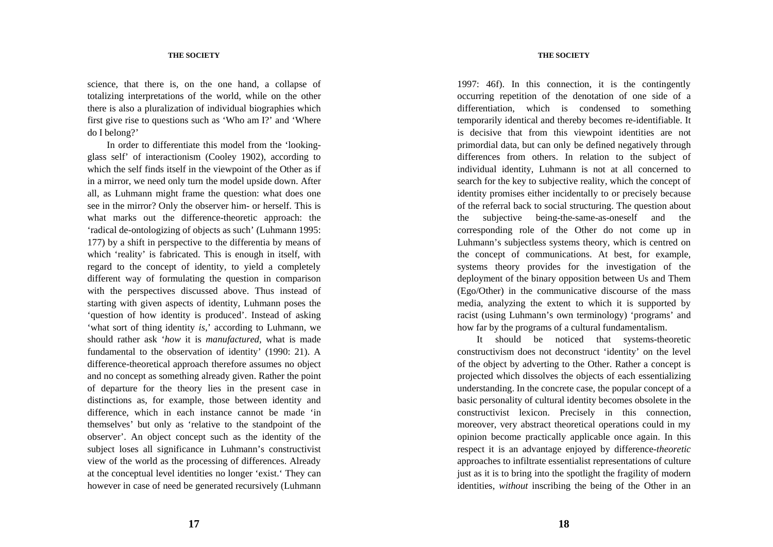science, that there is, on the one hand, a collapse of totalizing interpretations of the world, while on the other there is also a pluralization of individual biographies which first give rise to questions such as 'Who am I?' and 'Where do I belong?'

In order to differentiate this model from the 'lookingglass self' of interactionism (Cooley 1902), according to which the self finds itself in the viewpoint of the Other as if in a mirror, we need only turn the model upside down. After all, as Luhmann might frame the question: what does one see in the mirror? Only the observer him- or herself. This is what marks out the difference-theoretic approach: the 'radical de-ontologizing of objects as such' (Luhmann 1995: 177) by a shift in perspective to the differentia by means of which 'reality' is fabricated. This is enough in itself, with regard to the concept of identity, to yield a completely different way of formulating the question in comparison with the perspectives discussed above. Thus instead of starting with given aspects of identity, Luhmann poses the 'question of how identity is produced'. Instead of asking 'what sort of thing identity *is*,' according to Luhmann, we should rather ask '*how* it is *manufactured*, what is made fundamental to the observation of identity' (1990: 21). A difference-theoretical approach therefore assumes no object and no concept as something already given. Rather the point of departure for the theory lies in the present case in distinctions as, for example, those between identity and difference, which in each instance cannot be made 'in themselves' but only as 'relative to the standpoint of the observer'. An object concept such as the identity of the subject loses all significance in Luhmann's constructivist view of the world as the processing of differences. Already at the conceptual level identities no longer 'exist.' They can however in case of need be generated recursively (Luhmann

### **THE SOCIETY**

1997: 46f). In this connection, it is the contingently occurring repetition of the denotation of one side of a differentiation, which is condensed to something temporarily identical and thereby becomes re-identifiable. It is decisive that from this viewpoint identities are not primordial data, but can only be defined negatively through differences from others. In relation to the subject of individual identity, Luhmann is not at all concerned to search for the key to subjective reality, which the concept of identity promises either incidentally to or precisely because of the referral back to social structuring. The question about the subjective being-the-same-as-oneself and the corresponding role of the Other do not come up in Luhmann's subjectless systems theory, which is centred on the concept of communications. At best, for example, systems theory provides for the investigation of the deployment of the binary opposition between Us and Them (Ego/Other) in the communicative discourse of the mass media, analyzing the extent to which it is supported by racist (using Luhmann's own terminology) 'programs' and how far by the programs of a cultural fundamentalism.

It should be noticed that systems-theoretic constructivism does not deconstruct 'identity' on the level of the object by adverting to the Other. Rather a concept is projected which dissolves the objects of each essentializing understanding. In the concrete case, the popular concept of a basic personality of cultural identity becomes obsolete in the constructivist lexicon. Precisely in this connection, moreover, very abstract theoretical operations could in my opinion become practically applicable once again. In this respect it is an advantage enjoyed by difference-*theoretic* approaches to infiltrate essentialist representations of culture just as it is to bring into the spotlight the fragility of modern identities, *without* inscribing the being of the Other in an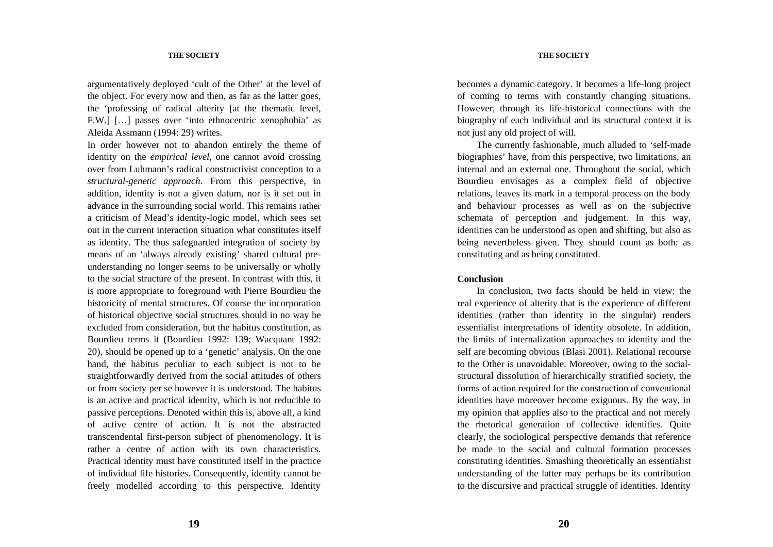### **THE SOCIETY**

argumentatively deployed 'cult of the Other' at the level of the object. For every now and then, as far as the latter goes, the 'professing of radical alterity [at the thematic level, F.W.] […] passes over 'into ethnocentric xenophobia' as Aleida Assmann (1994: 29) writes.

In order however not to abandon entirely the theme of identity on the *empirical level*, one cannot avoid crossing over from Luhmann's radical constructivist conception to a *structural-genetic approach*. From this perspective, in addition, identity is not a given datum, nor is it set out in advance in the surrounding social world. This remains rather a criticism of Mead's identity-logic model, which sees set out in the current interaction situation what constitutes itself as identity. The thus safeguarded integration of society by means of an 'always already existing' shared cultural preunderstanding no longer seems to be universally or wholly to the social structure of the present. In contrast with this, it is more appropriate to foreground with Pierre Bourdieu the historicity of mental structures. Of course the incorporation of historical objective social structures should in no way be excluded from consideration, but the habitus constitution, as Bourdieu terms it (Bourdieu 1992: 139; Wacquant 1992: 20), should be opened up to a 'genetic' analysis. On the one hand, the habitus peculiar to each subject is not to be straightforwardly derived from the social attitudes of others or from society per se however it is understood. The habitus is an active and practical identity, which is not reducible to passive perceptions. Denoted within this is, above all, a kind of active centre of action. It is not the abstracted transcendental first-person subject of phenomenology. It is rather a centre of action with its own characteristics. Practical identity must have constituted itself in the practice of individual life histories. Consequently, identity cannot be freely modelled according to this perspective. Identity

becomes a dynamic category. It becomes a life-long project of coming to terms with constantly changing situations. However, through its life-historical connections with the biography of each individual and its structural context it is not just any old project of will.

The currently fashionable, much alluded to 'self-made biographies' have, from this perspective, two limitations, an internal and an external one. Throughout the social, which Bourdieu envisages as a complex field of objective relations, leaves its mark in a temporal process on the body and behaviour processes as well as on the subjective schemata of perception and judgement. In this way, identities can be understood as open and shifting, but also as being nevertheless given. They should count as both: as constituting and as being constituted.

## **Conclusion**

In conclusion, two facts should be held in view: the real experience of alterity that is the experience of different identities (rather than identity in the singular) renders essentialist interpretations of identity obsolete. In addition, the limits of internalization approaches to identity and the self are becoming obvious (Blasi 2001). Relational recourse to the Other is unavoidable. Moreover, owing to the socialstructural dissolution of hierarchically stratified society, the forms of action required for the construction of conventional identities have moreover become exiguous. By the way, in my opinion that applies also to the practical and not merely the rhetorical generation of collective identities. Quite clearly, the sociological perspective demands that reference be made to the social and cultural formation processes constituting identities. Smashing theoretically an essentialist understanding of the latter may perhaps be its contribution to the discursive and practical struggle of identities. Identity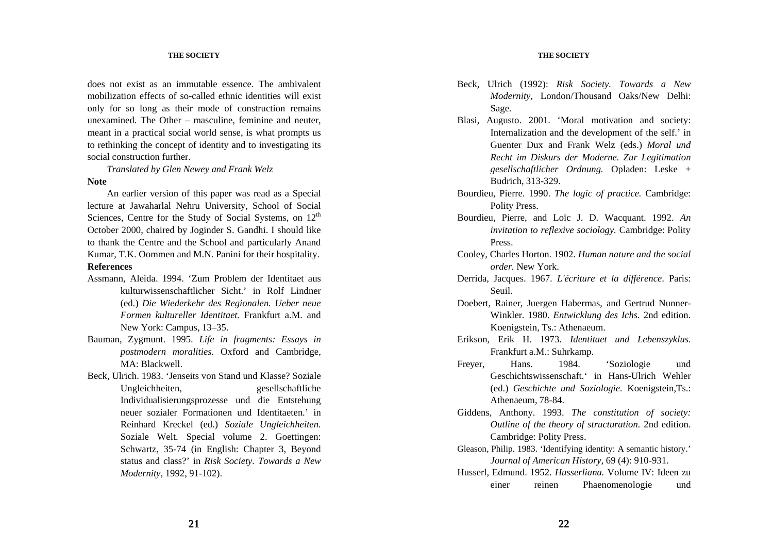does not exist as an immutable essence. The ambivalent mobilization effects of so-called ethnic identities will exist only for so long as their mode of construction remains unexamined. The Other – masculine, feminine and neuter, meant in a practical social world sense, is what prompts us to rethinking the concept of identity and to investigating its social construction further.

*Translated by Glen Newey and Frank Welz* 

#### **Note**

An earlier version of this paper was read as a Special lecture at Jawaharlal Nehru University, School of Social Sciences, Centre for the Study of Social Systems, on  $12<sup>th</sup>$ October 2000, chaired by Joginder S. Gandhi. I should like to thank the Centre and the School and particularly Anand Kumar, T.K. Oommen and M.N. Panini for their hospitality. **References**

- Assmann, Aleida. 1994. 'Zum Problem der Identitaet aus kulturwissenschaftlicher Sicht.' in Rolf Lindner (ed.) *Die Wiederkehr des Regionalen. Ueber neue Formen kultureller Identitaet.* Frankfurt a.M. and New York: Campus, 13–35.
- Bauman, Zygmunt. 1995. *Life in fragments: Essays in postmodern moralities.* Oxford and Cambridge, MA: Blackwell.
- Beck, Ulrich. 1983. 'Jenseits von Stand und Klasse? Soziale Ungleichheiten, gesellschaftliche Individualisierungsprozesse und die Entstehung neuer sozialer Formationen und Identitaeten.' in Reinhard Kreckel (ed.) *Soziale Ungleichheiten.* Soziale Welt. Special volume 2. Goettingen: Schwartz, 35-74 (in English: Chapter 3, Beyond status and class?' in *Risk Society. Towards a New Modernity,* 1992, 91-102).

### **THE SOCIETY**

- Beck, Ulrich (1992): *Risk Society. Towards a New Modernity,* London/Thousand Oaks/New Delhi: Sage.
- Blasi, Augusto. 2001. 'Moral motivation and society: Internalization and the development of the self.' in Guenter Dux and Frank Welz (eds.) *Moral und Recht im Diskurs der Moderne. Zur Legitimation gesellschaftlicher Ordnung.* Opladen: Leske + Budrich, 313-329.
- Bourdieu, Pierre. 1990. *The logic of practice.* Cambridge: Polity Press.
- Bourdieu, Pierre, and Loïc J. D. Wacquant. 1992. *An invitation to reflexive sociology.* Cambridge: Polity Press.
- Cooley, Charles Horton. 1902. *Human nature and the social order.* New York.
- Derrida, Jacques. 1967. *L'écriture et la différence*. Paris: Seuil.
- Doebert, Rainer, Juergen Habermas, and Gertrud Nunner-Winkler. 1980. *Entwicklung des Ichs.* 2nd edition. Koenigstein, Ts.: Athenaeum.
- Erikson, Erik H. 1973. *Identitaet und Lebenszyklus.* Frankfurt a.M.: Suhrkamp.
- Freyer, Hans. 1984. 'Soziologie und Geschichtswissenschaft.' in Hans-Ulrich Wehler (ed.) *Geschichte und Soziologie.* Koenigstein,Ts.: Athenaeum, 78-84.
- Giddens, Anthony. 1993. *The constitution of society: Outline of the theory of structuration.* 2nd edition. Cambridge: Polity Press.
- Gleason, Philip. 1983. 'Identifying identity: A semantic history.' *Journal of American History,* 69 (4): 910-931.
- Husserl, Edmund. 1952. *Husserliana.* Volume IV: Ideen zu einer reinen Phaenomenologie und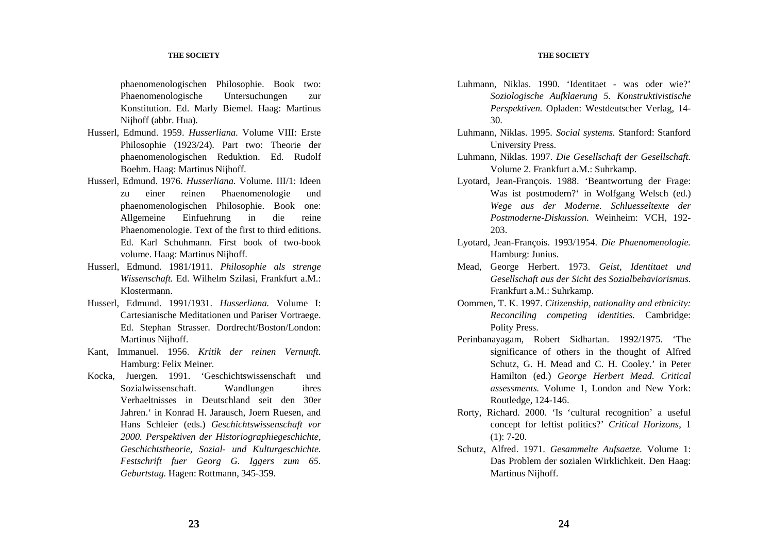#### **THE SOCIETY**

phaenomenologischen Philosophie. Book two: Phaenomenologische Untersuchungen zur Konstitution. Ed. Marly Biemel. Haag: Martinus Nijhoff (abbr. Hua).

- Husserl, Edmund. 1959. *Husserliana.* Volume VIII: Erste Philosophie (1923/24). Part two: Theorie der phaenomenologischen Reduktion. Ed. Rudolf Boehm. Haag: Martinus Nijhoff.
- Husserl, Edmund. 1976. *Husserliana.* Volume. III/1: Ideen zu einer reinen Phaenomenologie und phaenomenologischen Philosophie. Book one: Allgemeine Einfuehrung in die reine Phaenomenologie. Text of the first to third editions. Ed. Karl Schuhmann. First book of two-book volume. Haag: Martinus Nijhoff.
- Husserl, Edmund. 1981/1911. *Philosophie als strenge Wissenschaft.* Ed. Wilhelm Szilasi, Frankfurt a.M.: Klostermann.
- Husserl, Edmund. 1991/1931. *Husserliana.* Volume I: Cartesianische Meditationen und Pariser Vortraege. Ed. Stephan Strasser. Dordrecht/Boston/London: Martinus Nijhoff.
- Kant, Immanuel. 1956. *Kritik der reinen Vernunft.* Hamburg: Felix Meiner.
- Kocka, Juergen. 1991. 'Geschichtswissenschaft und Sozialwissenschaft. Wandlungen ihres Verhaeltnisses in Deutschland seit den 30er Jahren.' in Konrad H. Jarausch, Joern Ruesen, and Hans Schleier (eds.) *Geschichtswissenschaft vor 2000. Perspektiven der Historiographiegeschichte, Geschichtstheorie, Sozial- und Kulturgeschichte. Festschrift fuer Georg G. Iggers zum 65. Geburtstag.* Hagen: Rottmann, 345-359.
- Luhmann, Niklas. 1990. 'Identitaet was oder wie?' *Soziologische Aufklaerung 5. Konstruktivistische Perspektiven.* Opladen: Westdeutscher Verlag, 14- 30.
- Luhmann, Niklas. 1995. *Social systems.* Stanford: Stanford University Press.
- Luhmann, Niklas. 1997. *Die Gesellschaft der Gesellschaft.* Volume 2. Frankfurt a.M.: Suhrkamp.
- Lyotard, Jean-François. 1988. 'Beantwortung der Frage: Was ist postmodern?' in Wolfgang Welsch (ed.) *Wege aus der Moderne. Schluesseltexte der Postmoderne-Diskussion.* Weinheim: VCH, 192- 203.
- Lyotard, Jean-François. 1993/1954. *Die Phaenomenologie.* Hamburg: Junius.
- Mead, George Herbert. 1973. *Geist, Identitaet und Gesellschaft aus der Sicht des Sozialbehaviorismus.* Frankfurt a.M.: Suhrkamp.
- Oommen, T. K. 1997. *Citizenship, nationality and ethnicity: Reconciling competing identities.* Cambridge: Polity Press.
- Perinbanayagam, Robert Sidhartan. 1992/1975. 'The significance of others in the thought of Alfred Schutz, G. H. Mead and C. H. Cooley.' in Peter Hamilton (ed.) *George Herbert Mead. Critical assessments.* Volume 1, London and New York: Routledge, 124-146.
- Rorty, Richard. 2000. 'Is 'cultural recognition' a useful concept for leftist politics?' *Critical Horizons*, 1  $(1): 7-20.$
- Schutz, Alfred. 1971. *Gesammelte Aufsaetze.* Volume 1: Das Problem der sozialen Wirklichkeit. Den Haag: Martinus Nijhoff.